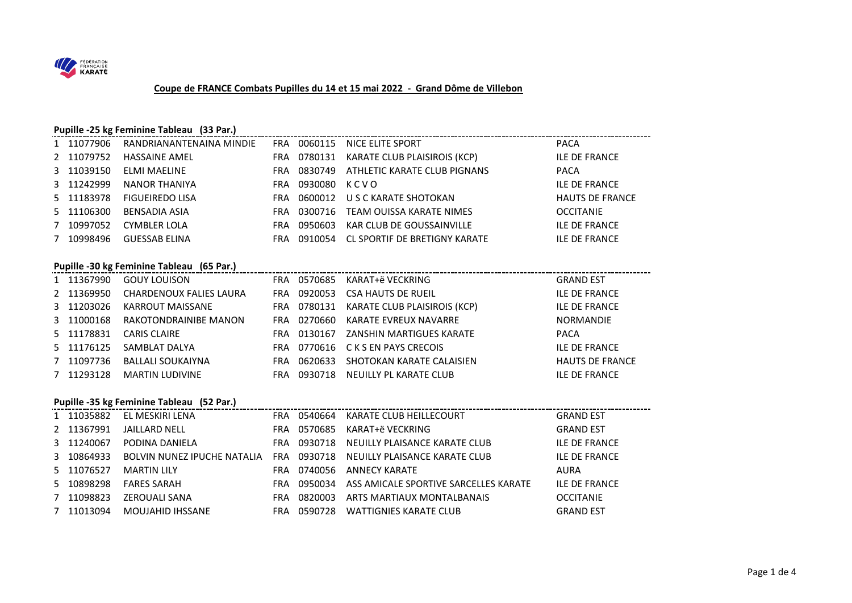

#### **Coupe de FRANCE Combats Pupilles du 14 et 15 mai 2022 - Grand Dôme de Villebon**

#### **Pupille -25 kg Feminine Tableau (33 Par.)**

| 1 11077906 | RANDRIANANTENAINA MINDIE | FRA        | 0060115 | NICE ELITE SPORT              | <b>PACA</b>            |
|------------|--------------------------|------------|---------|-------------------------------|------------------------|
| 2 11079752 | <b>HASSAINE AMEL</b>     | <b>FRA</b> | 0780131 | KARATE CLUB PLAISIROIS (KCP)  | <b>ILE DE FRANCE</b>   |
| 3 11039150 | ELMI MAELINE             | <b>FRA</b> | 0830749 | ATHLETIC KARATE CLUB PIGNANS  | <b>PACA</b>            |
| 3 11242999 | NANOR THANIYA            | <b>FRA</b> | 0930080 | K C V O                       | <b>ILE DE FRANCE</b>   |
| 5 11183978 | <b>FIGUEIREDO LISA</b>   | <b>FRA</b> | 0600012 | U S C KARATE SHOTOKAN         | <b>HAUTS DE FRANCE</b> |
| 5 11106300 | BENSADIA ASIA            | <b>FRA</b> | 0300716 | TEAM OUISSA KARATE NIMES      | <b>OCCITANIE</b>       |
| 7 10997052 | <b>CYMBLER LOLA</b>      | <b>FRA</b> | 0950603 | KAR CLUB DE GOUSSAINVILLE     | <b>ILE DE FRANCE</b>   |
| 7 10998496 | <b>GUESSAB ELINA</b>     | FRA        | 0910054 | CL SPORTIF DE BRETIGNY KARATE | <b>ILE DE FRANCE</b>   |

\_\_\_\_\_\_\_\_\_\_\_\_\_\_\_\_\_\_\_\_\_\_\_\_\_\_\_\_\_\_\_\_\_\_\_

#### **Pupille -30 kg Feminine Tableau (65 Par.)**

| 1 11367990 | <b>GOUY LOUISON</b>            |     | FRA 0570685 | KARAT+ë VECKRING              | <b>GRAND EST</b>       |
|------------|--------------------------------|-----|-------------|-------------------------------|------------------------|
| 2 11369950 | <b>CHARDENOUX FALIES LAURA</b> | FRA | 0920053     | <b>CSA HAUTS DE RUEIL</b>     | <b>ILE DE FRANCE</b>   |
| 3 11203026 | KARROUT MAISSANE               |     | FRA 0780131 | KARATE CLUB PLAISIROIS (KCP)  | <b>ILE DE FRANCE</b>   |
| 3 11000168 | RAKOTONDRAINIBE MANON          | FRA | 0270660     | KARATE EVREUX NAVARRE         | <b>NORMANDIE</b>       |
| 5 11178831 | <b>CARIS CLAIRE</b>            | FRA | 0130167     | ZANSHIN MARTIGUES KARATE      | <b>PACA</b>            |
| 5 11176125 | SAMBLAT DALYA                  | FRA |             | 0770616 C K S EN PAYS CRECOIS | <b>ILE DE FRANCE</b>   |
| 7 11097736 | <b>BALLALI SOUKAIYNA</b>       | FRA | 0620633     | SHOTOKAN KARATE CALAISIEN     | <b>HAUTS DE FRANCE</b> |
| 7 11293128 | MARTIN LUDIVINE                | FRA | 0930718     | NEUILLY PL KARATE CLUB        | <b>ILE DE FRANCE</b>   |

#### **Pupille -35 kg Feminine Tableau (52 Par.)**

| 1 11035882 | EL MESKIRI LENA                    | FRA.       | 0540664 | KARATE CLUB HEILLECOURT               | <b>GRAND EST</b>     |
|------------|------------------------------------|------------|---------|---------------------------------------|----------------------|
| 2 11367991 | <b>JAILLARD NELL</b>               | FRA        | 0570685 | KARAT+ë VECKRING                      | <b>GRAND EST</b>     |
| 3 11240067 | PODINA DANIELA                     | <b>FRA</b> | 0930718 | NEUILLY PLAISANCE KARATE CLUB         | <b>ILE DE FRANCE</b> |
| 3 10864933 | <b>BOLVIN NUNEZ IPUCHE NATALIA</b> | <b>FRA</b> | 0930718 | NEUILLY PLAISANCE KARATE CLUB         | ILE DE FRANCE        |
| 5 11076527 | <b>MARTIN LILY</b>                 | FRA        | 0740056 | ANNECY KARATE                         | AURA                 |
| 5 10898298 | <b>FARES SARAH</b>                 | <b>FRA</b> | 0950034 | ASS AMICALE SPORTIVE SARCELLES KARATE | <b>ILE DE FRANCE</b> |
| 7 11098823 | ZEROUALI SANA                      | <b>FRA</b> | 0820003 | ARTS MARTIAUX MONTALBANAIS            | <b>OCCITANIE</b>     |
| 7 11013094 | <b>MOUJAHID IHSSANE</b>            | FRA        | 0590728 | <b>WATTIGNIES KARATE CLUB</b>         | <b>GRAND EST</b>     |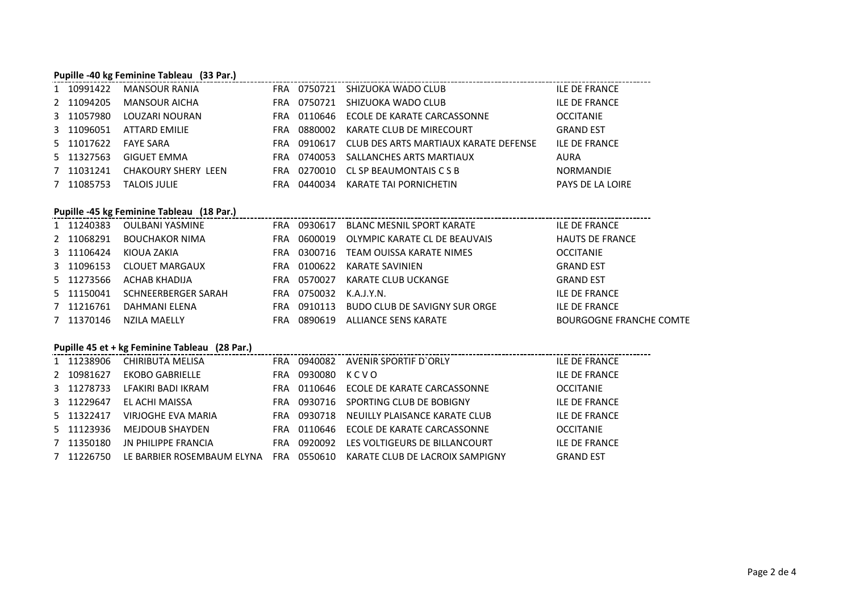## **Pupille -40 kg Feminine Tableau (33 Par.)**

| 1 10991422 | MANSOUR RANIA              | FRA        | 0750721 | SHIZUOKA WADO CLUB                    | ILE DE FRANCE           |
|------------|----------------------------|------------|---------|---------------------------------------|-------------------------|
| 2 11094205 | MANSOUR AICHA              | FRA        | 0750721 | SHIZUOKA WADO CLUB                    | <b>ILE DE FRANCE</b>    |
| 3 11057980 | LOUZARI NOURAN             | FRA        | 0110646 | ECOLE DE KARATE CARCASSONNE           | <b>OCCITANIE</b>        |
| 3 11096051 | ATTARD EMILIE              | FRA        | 0880002 | KARATE CLUB DE MIRECOURT              | <b>GRAND EST</b>        |
| 5 11017622 | <b>FAYE SARA</b>           | <b>FRA</b> | 0910617 | CLUB DES ARTS MARTIAUX KARATE DEFENSE | <b>ILE DE FRANCE</b>    |
| 5 11327563 | <b>GIGUET EMMA</b>         | FRA        | 0740053 | SALLANCHES ARTS MARTIAUX              | AURA                    |
| 7 11031241 | <b>CHAKOURY SHERY LEEN</b> | FRA        | 0270010 | CL SP BEAUMONTAIS C S B               | NORMANDIE               |
| 7 11085753 | <b>TALOIS JULIE</b>        | FRA        | 0440034 | KARATE TAI PORNICHETIN                | <b>PAYS DE LA LOIRE</b> |

## **Pupille -45 kg Feminine Tableau (18 Par.)**

| Pupine -45 kg reminine Tableau (18 Par.) |                       |     |         |                               |                                |  |  |  |  |  |
|------------------------------------------|-----------------------|-----|---------|-------------------------------|--------------------------------|--|--|--|--|--|
| 1 11240383                               | OULBANI YASMINE       | FRA | 0930617 | BLANC MESNIL SPORT KARATE     | ILE DE FRANCE                  |  |  |  |  |  |
| 2 11068291                               | <b>BOUCHAKOR NIMA</b> | FRA | 0600019 | OLYMPIC KARATE CL DE BEAUVAIS | <b>HAUTS DE FRANCE</b>         |  |  |  |  |  |
| 3 11106424                               | KIOUA ZAKIA           | FRA | 0300716 | TEAM OUISSA KARATE NIMES      | <b>OCCITANIE</b>               |  |  |  |  |  |
| 3 11096153                               | <b>CLOUET MARGAUX</b> | FRA | 0100622 | KARATE SAVINIEN               | <b>GRAND EST</b>               |  |  |  |  |  |
| 5 11273566                               | ACHAB KHADIJA         | FRA | 0570027 | KARATE CLUB UCKANGE           | <b>GRAND EST</b>               |  |  |  |  |  |
| 5 11150041                               | SCHNEERBERGER SARAH   | FRA | 0750032 | K.A.J.Y.N.                    | <b>ILE DE FRANCE</b>           |  |  |  |  |  |
| 7 11216761                               | DAHMANI ELENA         | FRA | 0910113 | BUDO CLUB DE SAVIGNY SUR ORGE | <b>ILE DE FRANCE</b>           |  |  |  |  |  |
| 7 11370146                               | NZILA MAELLY          | FRA | 0890619 | ALLIANCE SENS KARATE          | <b>BOURGOGNE FRANCHE COMTE</b> |  |  |  |  |  |
|                                          |                       |     |         |                               |                                |  |  |  |  |  |

## **Pupille 45 et + kg Feminine Tableau (28 Par.)**

| 1 11238906 | CHIRIBUTA MELISA           | FRA        | 0940082 | AVENIR SPORTIF D'ORLY           | <b>ILE DE FRANCE</b> |
|------------|----------------------------|------------|---------|---------------------------------|----------------------|
| 2 10981627 | <b>EKOBO GABRIELLE</b>     | FRA        | 0930080 | KCVO                            | <b>ILE DE FRANCE</b> |
| 3 11278733 | LFAKIRI BADI IKRAM         | FRA.       | 0110646 | ECOLE DE KARATE CARCASSONNE     | <b>OCCITANIE</b>     |
| 3 11229647 | EL ACHI MAISSA             | FRA        | 0930716 | SPORTING CLUB DE BOBIGNY        | <b>ILE DE FRANCE</b> |
| 5 11322417 | VIRJOGHE EVA MARIA         | FRA        | 0930718 | NEUILLY PLAISANCE KARATE CLUB   | <b>ILE DE FRANCE</b> |
| 5 11123936 | MEJDOUB SHAYDEN            | FRA        | 0110646 | ECOLE DE KARATE CARCASSONNE     | <b>OCCITANIE</b>     |
| 7 11350180 | <b>JN PHILIPPE FRANCIA</b> | FRA        | 0920092 | LES VOLTIGEURS DE BILLANCOURT   | <b>ILE DE FRANCE</b> |
| 7 11226750 | LE BARBIER ROSEMBAUM ELYNA | <b>FRA</b> | 0550610 | KARATE CLUB DE LACROIX SAMPIGNY | <b>GRAND EST</b>     |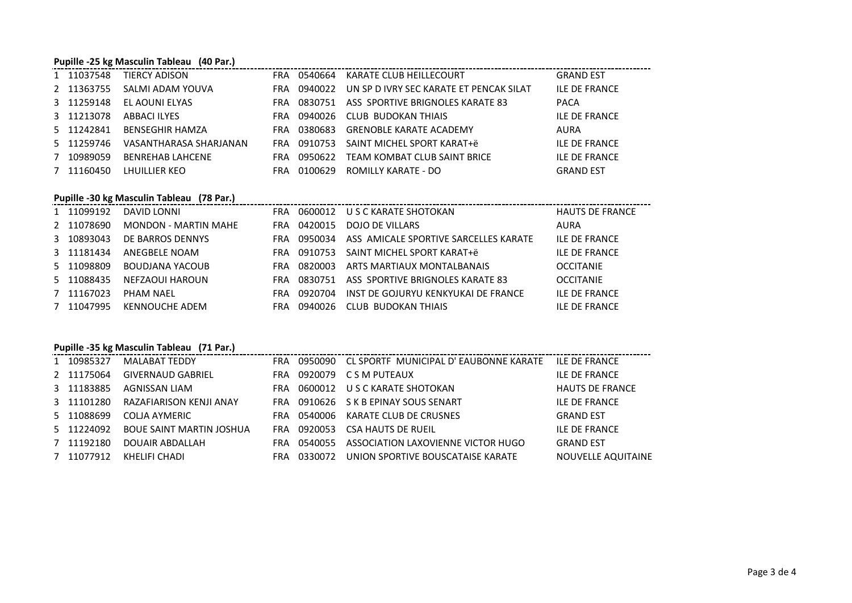#### **Pupille -25 kg Masculin Tableau (40 Par.)**

| <b>Fupille -25 Rg Masculiii Tableau</b> (40 Fail) |                         |            |             |                                         |                      |  |  |  |  |  |
|---------------------------------------------------|-------------------------|------------|-------------|-----------------------------------------|----------------------|--|--|--|--|--|
| 1 11037548                                        | TIERCY ADISON           |            | FRA 0540664 | KARATE CLUB HEILLECOURT                 | <b>GRAND EST</b>     |  |  |  |  |  |
| 2 11363755                                        | SALMI ADAM YOUVA        | FRA        | 0940022     | UN SP D IVRY SEC KARATE ET PENCAK SILAT | <b>ILE DE FRANCE</b> |  |  |  |  |  |
| 3 11259148                                        | EL AOUNI ELYAS          | <b>FRA</b> | 0830751     | ASS SPORTIVE BRIGNOLES KARATE 83        | <b>PACA</b>          |  |  |  |  |  |
| 3 11213078                                        | ABBACI ILYES            | FRA        | 0940026     | CLUB BUDOKAN THIAIS                     | <b>ILE DE FRANCE</b> |  |  |  |  |  |
| 5 11242841                                        | <b>BENSEGHIR HAMZA</b>  | FRA        | 0380683     | <b>GRENOBLE KARATE ACADEMY</b>          | AURA                 |  |  |  |  |  |
| 5 11259746                                        | VASANTHARASA SHARJANAN  |            | FRA 0910753 | SAINT MICHEL SPORT KARAT+ë              | <b>ILE DE FRANCE</b> |  |  |  |  |  |
| 7 10989059                                        | <b>BENREHAB LAHCENE</b> | <b>FRA</b> | 0950622     | TEAM KOMBAT CLUB SAINT BRICE            | <b>ILE DE FRANCE</b> |  |  |  |  |  |
| 7 11160450                                        | LHUILLIER KEO           | FRA        | 0100629     | ROMILLY KARATE - DO                     | <b>GRAND EST</b>     |  |  |  |  |  |

# **Pupille -30 kg Masculin Tableau (78 Par.)**

| $\sim$ , where $\sim$ , $\sim$ , $\sim$ , $\sim$ , $\sim$ , $\sim$ , $\sim$ , $\sim$ , $\sim$ , $\sim$ , $\sim$ , $\sim$ |                      |            |             |                                                   |                        |  |  |  |  |
|--------------------------------------------------------------------------------------------------------------------------|----------------------|------------|-------------|---------------------------------------------------|------------------------|--|--|--|--|
| 1 11099192                                                                                                               | DAVID LONNI          |            |             | FRA 0600012 USCKARATE SHOTOKAN                    | <b>HAUTS DE FRANCE</b> |  |  |  |  |
| 2 11078690                                                                                                               | MONDON - MARTIN MAHE | FRA        | 0420015     | DOJO DE VILLARS                                   | AURA                   |  |  |  |  |
| 3 10893043                                                                                                               | DE BARROS DENNYS     |            |             | FRA 0950034 ASS AMICALE SPORTIVE SARCELLES KARATE | <b>ILE DE FRANCE</b>   |  |  |  |  |
| 3 11181434                                                                                                               | ANEGBELE NOAM        |            | FRA 0910753 | SAINT MICHEL SPORT KARAT+ë                        | <b>ILE DE FRANCE</b>   |  |  |  |  |
| 5 11098809                                                                                                               | BOUDJANA YACOUB      | FRA        | 0820003     | ARTS MARTIAUX MONTALBANAIS                        | <b>OCCITANIE</b>       |  |  |  |  |
| 5 11088435                                                                                                               | NEFZAOUI HAROUN      | FRA        |             | 0830751 ASS SPORTIVE BRIGNOLES KARATE 83          | <b>OCCITANIE</b>       |  |  |  |  |
| 7 11167023                                                                                                               | PHAM NAFI            | <b>FRA</b> | 0920704     | INST DE GOJURYU KENKYUKAI DE FRANCE               | <b>ILE DE FRANCE</b>   |  |  |  |  |
| 7 11047995                                                                                                               | KENNOUCHE ADEM       | <b>FRA</b> | 0940026     | CLUB BUDOKAN THIAIS                               | ILE DE FRANCE          |  |  |  |  |
|                                                                                                                          |                      |            |             |                                                   |                        |  |  |  |  |

# **Pupille -35 kg Masculin Tableau (71 Par.)**

| 1 10985327 | MALABAT TEDDY                   | FRA |         | 0950090 CL SPORTF MUNICIPAL D'EAUBONNE KARATE | <b>ILE DE FRANCE</b>   |
|------------|---------------------------------|-----|---------|-----------------------------------------------|------------------------|
| 2 11175064 | <b>GIVERNAUD GABRIEL</b>        | FRA |         | 0920079 CSM PUTEAUX                           | ILE DE FRANCE          |
| 3 11183885 | AGNISSAN LIAM                   | FRA |         | 0600012 U S C KARATE SHOTOKAN                 | <b>HAUTS DE FRANCE</b> |
| 3 11101280 | RAZAFIARISON KENJI ANAY         |     |         | FRA 0910626 S K B EPINAY SOUS SENART          | ILE DE FRANCE          |
| 5 11088699 | COLIA AYMERIC                   |     |         | FRA 0540006 KARATE CLUB DE CRUSNES            | <b>GRAND EST</b>       |
| 5 11224092 | <b>BOUE SAINT MARTIN JOSHUA</b> | FRA |         | 0920053 CSA HAUTS DE RUEIL                    | ILE DE FRANCE          |
| 7 11192180 | DOUAIR ABDALLAH                 | FRA | 0540055 | ASSOCIATION LAXOVIENNE VICTOR HUGO            | <b>GRAND EST</b>       |
| 7 11077912 | KHELIFI CHADI                   | FRA | 0330072 | UNION SPORTIVE BOUSCATAISE KARATE             | NOUVELLE AQUITAINE     |